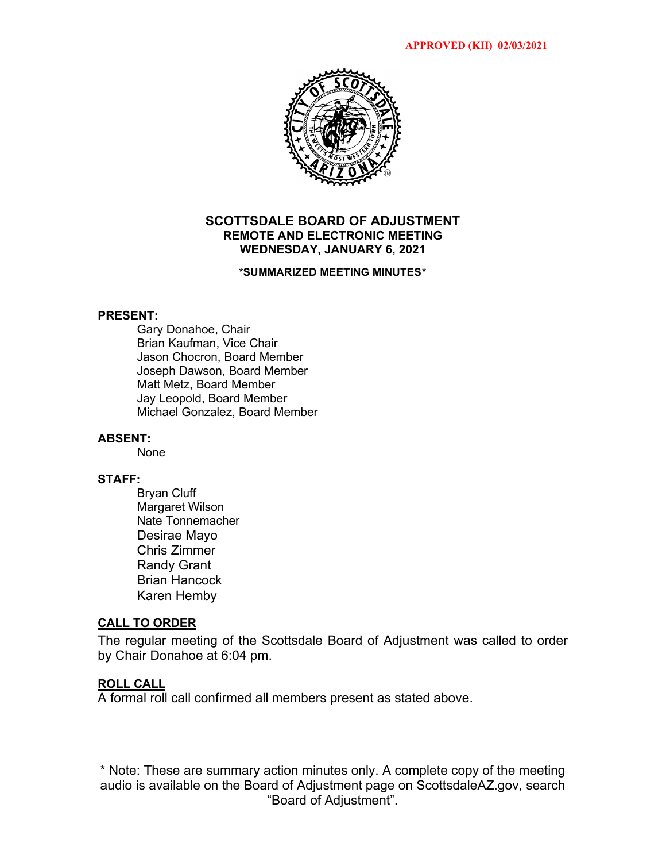

# **SCOTTSDALE BOARD OF ADJUSTMENT REMOTE AND ELECTRONIC MEETING WEDNESDAY, JANUARY 6, 2021**

#### **\*SUMMARIZED MEETING MINUTES\***

#### **PRESENT:**

Gary Donahoe, Chair Brian Kaufman, Vice Chair Jason Chocron, Board Member Joseph Dawson, Board Member Matt Metz, Board Member Jay Leopold, Board Member Michael Gonzalez, Board Member

# **ABSENT:**

None

#### **STAFF:**

Bryan Cluff Margaret Wilson Nate Tonnemacher Desirae Mayo Chris Zimmer Randy Grant Brian Hancock Karen Hemby

# **CALL TO ORDER**

The regular meeting of the Scottsdale Board of Adjustment was called to order by Chair Donahoe at 6:04 pm.

# **ROLL CALL**

A formal roll call confirmed all members present as stated above.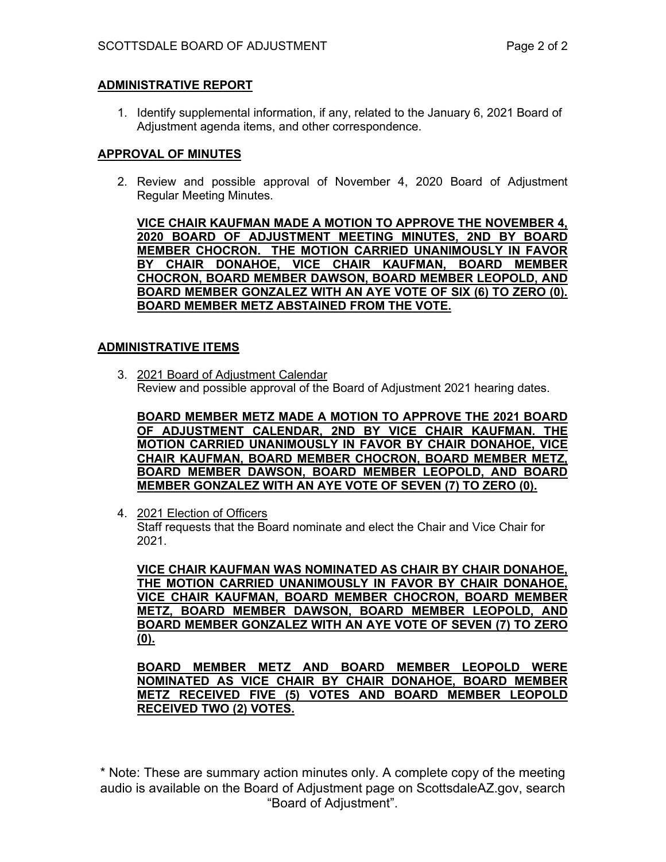# **ADMINISTRATIVE REPORT**

1. Identify supplemental information, if any, related to the January 6, 2021 Board of Adjustment agenda items, and other correspondence.

# **APPROVAL OF MINUTES**

2. Review and possible approval of November 4, 2020 Board of Adjustment Regular Meeting Minutes.

**VICE CHAIR KAUFMAN MADE A MOTION TO APPROVE THE NOVEMBER 4, 2020 BOARD OF ADJUSTMENT MEETING MINUTES, 2ND BY BOARD MEMBER CHOCRON. THE MOTION CARRIED UNANIMOUSLY IN FAVOR BY CHAIR DONAHOE, VICE CHAIR KAUFMAN, BOARD MEMBER CHOCRON, BOARD MEMBER DAWSON, BOARD MEMBER LEOPOLD, AND BOARD MEMBER GONZALEZ WITH AN AYE VOTE OF SIX (6) TO ZERO (0). BOARD MEMBER METZ ABSTAINED FROM THE VOTE.**

# **ADMINISTRATIVE ITEMS**

3. [2021 Board of Adjustment Calendar](https://eservices.scottsdaleaz.gov/planning/projectsummary/unrelated_documents/2021%20BOA%20Hearing%20Dates.pdf) Review and possible approval of the Board of Adjustment 2021 hearing dates.

**BOARD MEMBER METZ MADE A MOTION TO APPROVE THE 2021 BOARD OF ADJUSTMENT CALENDAR, 2ND BY VICE CHAIR KAUFMAN. THE MOTION CARRIED UNANIMOUSLY IN FAVOR BY CHAIR DONAHOE, VICE CHAIR KAUFMAN, BOARD MEMBER CHOCRON, BOARD MEMBER METZ, BOARD MEMBER DAWSON, BOARD MEMBER LEOPOLD, AND BOARD MEMBER GONZALEZ WITH AN AYE VOTE OF SEVEN (7) TO ZERO (0).** 

4. 2021 Election of Officers

Staff requests that the Board nominate and elect the Chair and Vice Chair for 2021.

**VICE CHAIR KAUFMAN WAS NOMINATED AS CHAIR BY CHAIR DONAHOE, THE MOTION CARRIED UNANIMOUSLY IN FAVOR BY CHAIR DONAHOE, VICE CHAIR KAUFMAN, BOARD MEMBER CHOCRON, BOARD MEMBER METZ, BOARD MEMBER DAWSON, BOARD MEMBER LEOPOLD, AND BOARD MEMBER GONZALEZ WITH AN AYE VOTE OF SEVEN (7) TO ZERO (0).** 

**BOARD MEMBER METZ AND BOARD MEMBER LEOPOLD WERE NOMINATED AS VICE CHAIR BY CHAIR DONAHOE, BOARD MEMBER METZ RECEIVED FIVE (5) VOTES AND BOARD MEMBER LEOPOLD RECEIVED TWO (2) VOTES.**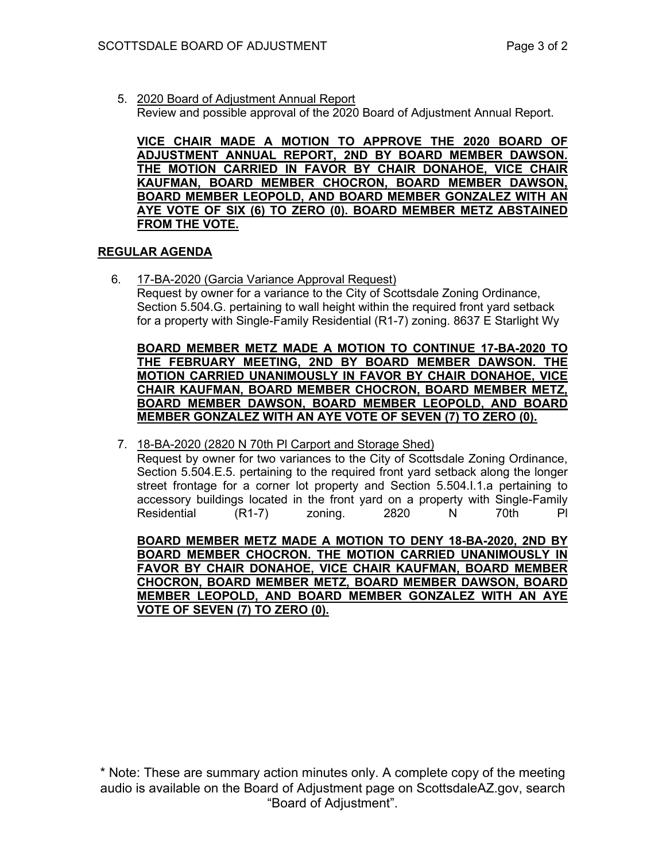5. 2020 Board of [Adjustment](https://eservices.scottsdaleaz.gov/planning/projectsummary/unrelated_documents/BOA%20Annual%20Report%202020.pdf) [Annual Report](https://eservices.scottsdaleaz.gov/planning/projectsummary/unrelated_documents/BOA%20Annual%20Report%202020.pdf) Review and [possible](https://eservices.scottsdaleaz.gov/planning/projectsummary/unrelated_documents/2021%20BOA%20Hearing%20Dates.pdf) approval of the 2020 Board of Adjustment Annual Report.

**VICE CHAIR MADE A MOTION TO APPROVE THE 2020 BOARD OF ADJUSTMENT ANNUAL REPORT, 2ND BY BOARD MEMBER DAWSON. THE MOTION CARRIED IN FAVOR BY CHAIR DONAHOE, VICE CHAIR KAUFMAN, BOARD MEMBER CHOCRON, BOARD MEMBER DAWSON, BOARD MEMBER LEOPOLD, AND BOARD MEMBER GONZALEZ WITH AN AYE VOTE OF SIX (6) TO ZERO (0). BOARD MEMBER METZ ABSTAINED FROM THE VOTE.**

# **REGULAR AGENDA**

6. [17-BA-2020 \(Garcia Variance Approval Request\)](https://eservices.scottsdaleaz.gov/planning/projectsummary/ba_reports/BA_17_BA_2020.pdf)

Request by owner for a variance to the City of Scottsdale Zoning Ordinance, Section 5.504.G. pertaining to wall height within the required front yard setback for a property with Single-Family Residential (R1-7) zoning. 8637 E Starlight Wy

**BOARD MEMBER METZ MADE A MOTION TO CONTINUE 17-BA-2020 TO THE FEBRUARY MEETING, 2ND BY BOARD MEMBER DAWSON. THE MOTION CARRIED UNANIMOUSLY IN FAVOR BY CHAIR DONAHOE, VICE CHAIR KAUFMAN, BOARD MEMBER CHOCRON, BOARD MEMBER METZ, BOARD MEMBER DAWSON, BOARD MEMBER LEOPOLD, AND BOARD MEMBER GONZALEZ WITH AN AYE VOTE OF SEVEN (7) TO ZERO (0).** 

7. 18-BA-2020 (2820 N 70th Pl Carport and Storage Shed)

Request by owner for two variances to the City of Scottsdale Zoning Ordinance, Section 5.504.E.5. pertaining to the required front yard setback along the longer street frontage for a corner lot property and Section 5.504.I.1.a pertaining to accessory buildings located in the front yard on a property with Single-Family Residential (R1-7) zoning. 2820 N 70th Pl

**BOARD MEMBER METZ MADE A MOTION TO DENY 18-BA-2020, 2ND BY BOARD MEMBER CHOCRON. THE MOTION CARRIED UNANIMOUSLY IN FAVOR BY CHAIR DONAHOE, VICE CHAIR KAUFMAN, BOARD MEMBER CHOCRON, BOARD MEMBER METZ, BOARD MEMBER DAWSON, BOARD MEMBER LEOPOLD, AND BOARD MEMBER GONZALEZ WITH AN AYE VOTE OF SEVEN (7) TO ZERO (0).**